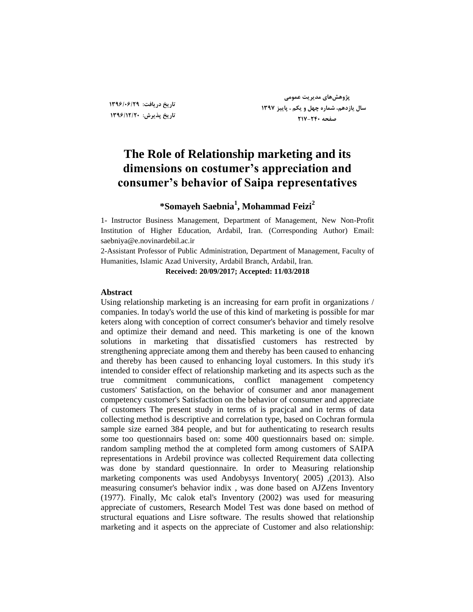**تارید زریافت: 1396/06/29 تارید پذیزش: 1396/12/20**

**پژٍّصّای هسیزیت ػوَهی سال یاسزّن، ضوارُ چْل ٍ یکن ، پاییش 1397 صفحِ 217-240**

## **The Role of Relationship marketing and its dimensions on costumer's appreciation and consumer's behavior of Saipa representatives**

## **\*Somayeh Saebnia<sup>1</sup> , Mohammad Feizi<sup>2</sup>**

1- Instructor Business Management, Department of Management, New Non-Profit Institution of Higher Education, Ardabil, Iran. (Corresponding Author) Email: saebniya@e.novinardebil.ac.ir

2-Assistant Professor of Public Administration, Department of Management, Faculty of Humanities, Islamic Azad University, Ardabil Branch, Ardabil, Iran.

**Received: 20/09/2017; Accepted: 11/03/2018**

#### **Abstract**

Using relationship marketing is an increasing for earn profit in organizations / companies. In today's world the use of this kind of marketing is possible for mar keters along with conception of correct consumer's behavior and timely resolve and optimize their demand and need. This marketing is one of the known solutions in marketing that dissatisfied customers has restrected by strengthening appreciate among them and thereby has been caused to enhancing and thereby has been caused to enhancing loyal customers. In this study it's intended to consider effect of relationship marketing and its aspects such as the true commitment communications, conflict management competency customers' Satisfaction, on the behavior of consumer and anor management competency customer's Satisfaction on the behavior of consumer and appreciate of customers The present study in terms of is pracjcal and in terms of data collecting method is descriptive and correlation type, based on Cochran formula sample size earned 384 people, and but for authenticating to research results some too questionnairs based on: some 400 questionnairs based on: simple. random sampling method the at completed form among customers of SAIPA representations in Ardebil province was collected Requirement data collecting was done by standard questionnaire. In order to Measuring relationship marketing components was used Andobysys Inventory( 2005) ,(2013). Also measuring consumer's behavior indix , was done based on AJZens Inventory (1977). Finally, Mc calok etal's Inventory (2002) was used for measuring appreciate of customers, Research Model Test was done based on method of structural equations and Lisre software. The results showed that relationship marketing and it aspects on the appreciate of Customer and also relationship: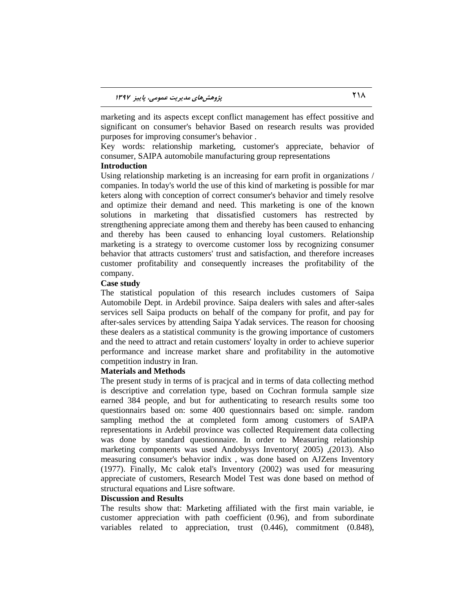marketing and its aspects except conflict management has effect possitive and significant on consumer's behavior Based on research results was provided purposes for improving consumer's behavior .

Key words: relationship marketing, customer's appreciate, behavior of consumer, SAIPA automobile manufacturing group representations

#### **Introduction**

Using relationship marketing is an increasing for earn profit in organizations / companies. In today's world the use of this kind of marketing is possible for mar keters along with conception of correct consumer's behavior and timely resolve and optimize their demand and need. This marketing is one of the known solutions in marketing that dissatisfied customers has restrected by strengthening appreciate among them and thereby has been caused to enhancing and thereby has been caused to enhancing loyal customers. Relationship marketing is a strategy to overcome customer loss by recognizing consumer behavior that attracts customers' trust and satisfaction, and therefore increases customer profitability and consequently increases the profitability of the company.

#### **Case study**

The statistical population of this research includes customers of Saipa Automobile Dept. in Ardebil province. Saipa dealers with sales and after-sales services sell Saipa products on behalf of the company for profit, and pay for after-sales services by attending Saipa Yadak services. The reason for choosing these dealers as a statistical community is the growing importance of customers and the need to attract and retain customers' loyalty in order to achieve superior performance and increase market share and profitability in the automotive competition industry in Iran.

#### **Materials and Methods**

The present study in terms of is pracjcal and in terms of data collecting method is descriptive and correlation type, based on Cochran formula sample size earned 384 people, and but for authenticating to research results some too questionnairs based on: some 400 questionnairs based on: simple. random sampling method the at completed form among customers of SAIPA representations in Ardebil province was collected Requirement data collecting was done by standard questionnaire. In order to Measuring relationship marketing components was used Andobysys Inventory( 2005) ,(2013). Also measuring consumer's behavior indix , was done based on AJZens Inventory (1977). Finally, Mc calok etal's Inventory (2002) was used for measuring appreciate of customers, Research Model Test was done based on method of structural equations and Lisre software.

#### **Discussion and Results**

The results show that: Marketing affiliated with the first main variable, ie customer appreciation with path coefficient (0.96), and from subordinate variables related to appreciation, trust (0.446), commitment (0.848),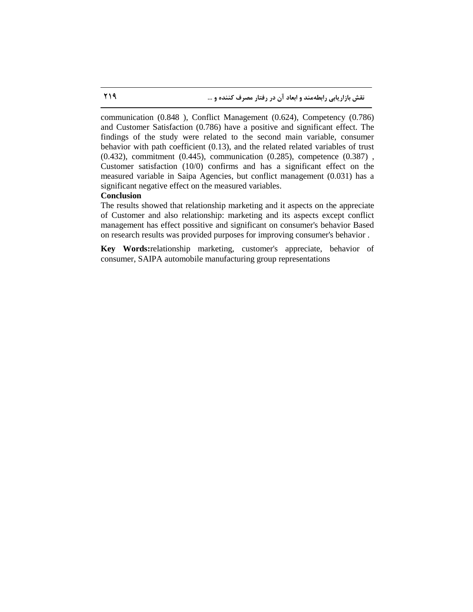communication (0.848 ), Conflict Management (0.624), Competency (0.786) and Customer Satisfaction (0.786) have a positive and significant effect. The findings of the study were related to the second main variable, consumer behavior with path coefficient (0.13), and the related related variables of trust (0.432), commitment (0.445), communication (0.285), competence (0.387) , Customer satisfaction (10/0) confirms and has a significant effect on the measured variable in Saipa Agencies, but conflict management (0.031) has a significant negative effect on the measured variables.

#### **Conclusion**

The results showed that relationship marketing and it aspects on the appreciate of Customer and also relationship: marketing and its aspects except conflict management has effect possitive and significant on consumer's behavior Based on research results was provided purposes for improving consumer's behavior .

**Key Words:**relationship marketing, customer's appreciate, behavior of consumer, SAIPA automobile manufacturing group representations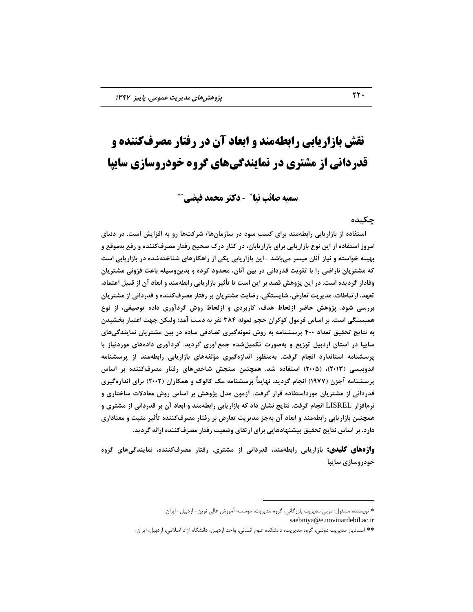# **نقش بازاریابی رابطهمند و ابعاد آن در رفتار مصرفکننده و قدردانی از مشتری در نمایندگیهای گروه خودروسازی سایپا**

سمیه صائب نیا**\* - دکتر محمد فیضی\*\*** 

#### **چکیسُ**

استفاده از بازاریابی رابطهمند برای کسب سود در سازمان۱۵/ شرکتها رو به افزایش است. در دنیای امروز استفاده از این نوع بازاریابی برای بازاریابان، در کنار درک صحیح رفتار مصرفکننده و رفع بهموقع و **تْیٌِ ذَاستِ ٍ ًیاس آًاى هیسز هیتاضس** . **ایي تاساریاتی یکی اس راّکارّای ضٌاذتِضسُ زر تاساریاتی است**  که مشتریان ناراضی را با تقویت قدردانی در بین آنان، محدود کرده و بدینوسیله باعث فزونی مشتریان وفادار گردیده است. در این پژوهش قصد بر این است تا تأثیر بازاریابی رابطهمند و ابعاد آن از قبیل اعتماد، تعهد، ارتباطات، مدیریت تعارض، شایستگی، رضایت مشتریان بر رفتار مصرفکننده و قدردانی از مشتریان بررسی شود. پژوهش حاضر ازلحاظ هدف، کاربردی و ازلحاظ روش گردآوری داده توصیفی، از نوع همبستگی است. بر اساس فرمول کوکران حجم نمونه ۳۸۴ نفر به دست آمد؛ ولیکن جهت اعتبار بخشیدن **تِ ًتایج تحقیق تؼساز 400 پزسطٌاهِ تِ رٍش ًوًَِگیزی تصازفی سازُ زر تیي هطتزیاى ًوایٌسگیّای**  سایپا در استان اردبیل توزیع و بهصورت تکمیلشده جمعآوری گردید. گردآوری دادههای موردنیاز با پرسشنامه استاندارد انجام گرفت. بِهمنظور اندازهگیری مؤلفههای بازاریابی رابطهمند از پرسشنامه **اًسٍتیسی )2013(، )2005( استفازُ ضس. ّوچٌیي سٌجص ضاذصّای رفتار هصزفکٌٌسُ تز اساس پزسطٌاهِ آجشى )1977( اًجام گززیس. ًْایتاً پزسطٌاهِ هک کالَک ٍ ّوکاراى )2002( تزای اًساسُگیزی**  قدردانی از مشتریان مورداستفاده قرار گرفت. آزمون مدل پژوهش بر اساس روش معادلات ساختاری و **نرمافزار LISREL انجام گرفت. نتایج نشان داد که بازاریابی رابطهمند و ابعاد آن بر قدردانی از مشتری و** همچنین بازاریابی رابطهمند و ابعاد آن بهجز مدیریت تعارض بر رفتار مصرفکننده تأثیر مثبت و معناداری دارد. بر اساس نتایج تحقیق پیشنهادهایی برای ارتقای وضعیت رفتار مصرفکننده ارائه گردید.

و**اژههای کلیدی:** بازاریابی رابطهمند، قدردانی از مشتری، رفتار مصرفکننده، نمایندگیهای گروه **خودروسازی سایپا** 

 $\overline{a}$ \* نویسنده مسئول: مربی مدیریت بازر گانی، گروه مدیریت، موسسه آموزش عالی نوین- اردبیل- ایران.

saebniya@e.novinardebil.ac.ir

<sup>\*\*</sup> استادیار مدیریت دولتی، گروه مدیریت، دانشكده علوم انسانی، واحد اردبیل، دانشگاه آزاد اسلامی، اردبیل، ایران.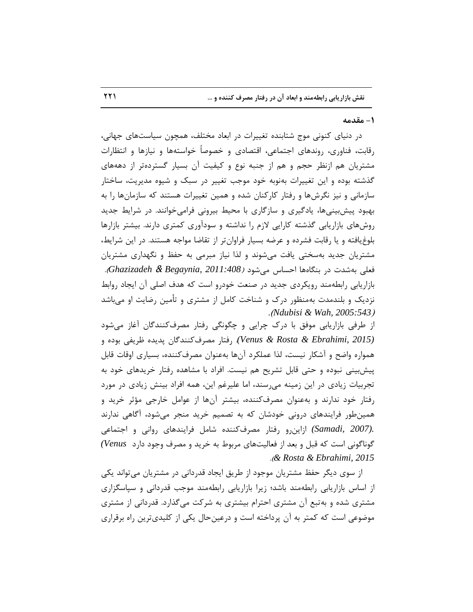#### **-1 هقسهِ**

در دنیای کنونی موج شتابنده تغییرات در ابعاد مختلف، همچون سیاستهای جهانی، رقابت، فناوری، روندهای اجتماعی، اقتصادی و خصوصاً خواستهها و نیازها و انتظارات مشتریان هم ازنظر حجم و هم از جنبه نوع و کیفیت آن بسیار گستردهتر از دهههای گذشته بوده و این تغییرات بهنوبه خود موجب تغییر در سبک و شیوه مدیریت، ساختار سازمانی و نیز نگرشها و رفتار کارکنان شده و همین تغییرات هستند که سازمانها را به بهبود پیش بینیها، یادگیری و سازگاری با محیط بیرونی فرامیخوانند. در شرایط جدید روشهای بازاریابی گذشته كارایی لازم را نداشته و سودآوری كمتری دارند. بیشتر بازارها بلوغ یافته و یا رقابت فشرده و عرضه بسیار فراوان تر از تقاضا مواجه هستند. در این شرایط، مشتریان جدید بهسختی یافت میشوند و لذا نیاز مبرمی به حفظ و نگهداری مشتریان فعلی بهشدت در بنگاهها احساس میشود *(2011:408 Ghazizadeh & Begaynia, 20*, بازاریابی رابطهمند رویکردی جدید در صنعت خودرو است که هدف اصلی آن ایجاد روابط نزدیک و بلندمدت بهمنظور درک و شناخت کامل از مشتری و تأمین رضایت او میباشد .)*Ndubisi & Wah, 2005:543*(

از طرفی بازاریابی موفق با درک چرایی و چگونگی رفتار مصرفکنندگان آغاز میشود *(Venus & Rosta & Ebrahimi, 2015). ر*فتار مصرف *كنندگان پديده ظريفي بوده* و همواره واضح و آشکار نیست، لذا عملکرد آنها بهعنوان مصرفکننده، بسیاری اوقات قابل پیش بینی نبوده و حتی قابل تشریح هم نیست. افراد با مشاهده رفتار خریدهای خود به تجربیات زیادی در این زمینه میرسند، اما علیرغم این، همه افراد بینش زیادی در مورد رفتار خود ندارند و بهعنوان مصرفکننده، بیشتر آنها از عوامل خارجی مؤثر خرید و همین طور فرایندهای درونی خودشان که به تصمیم خرید منجر می شود، آگاهی ندارند .*(Samadi, 2007) ازاین و رفتار مصرف کننده* شامل فرایندهای روانی و اجتماعی *(Samadi, 2007* گوناگونی است که قبل و بعد از فعالیتهای مربوط به خرید و مصرف وجود دارد Venus *(* .)*& Rosta & Ebrahimi, 2015*

از سوی دیگر حفظ مشتریان موجود از طریق ایجاد قدردانی در مشتریان میتواند یكی از اساس بازاریابی رابطهمند باشد؛ زیرا بازاریابی رابطهمند موجب قدردانی و سپاسگزاری مشتری شده و به تبع آن مشتری احترام بیشتری به شرکت می گذارد. قدردانی از مشتری موضوعی است که کمتر به آن پرداخته است و درعینحال یکی از کلیدیترین راه برقراری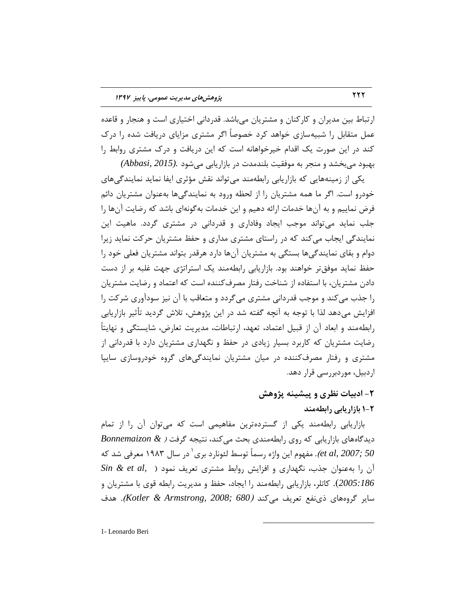ارتباط بین مدیران و کارکنان و مشتریان میباشد. قدردانی اختیاری است و هنجار و قاعده عمل متقابل را شبیهسازی خواهد کرد خصوصاً اگر مشتری مزایای دریافت شده را درک کند در این صورت یک اقدام خیرخواهانه است که این دریافت و درک مشتری روابط را ثٟجٛز ٔیثركس ٚ ٙٔزط ثٝ ٛٔفمیت ثّٙسٔست زض ثبظاضیبثی ٔیقٛز *.(2015 ,Abbasi(*

یکی از زمینههایی که بازاریابی رابطهمند می تواند نقش مؤثری ایفا نماید نمایندگی های خودرو است. اگر ما همه مشتریان را از لحظه ورود به نمایندگیها بهعنوان مشتریان دائم فرض نماییم و به آنها خدمات ارائه دهیم و این خدمات به گونهای باشد که رضایت آنها را جلب نماید میتواند موجب ایجاد وفاداری و قدردانی در مشتری گردد. ماهیت این نمایندگی ایجاب میکند که در راستای مشتری مداری و حفظ مشتریان حرکت نماید زیرا دوام و بقای نمایندگیها بستگی به مشتریان آنها دارد هرقدر بتواند مشتریان فعلی خود را حفظ نماید موفقتر خواهند بود. بازاریابی رابطهمند یک استراتژی جهت غلبه بر از دست دادن مشتریان، با استفاده از شناخت رفتار مصرف كننده است كه اعتماد و رضایت مشتریان را جذب می کند و موجب قدردانی مشتری می گردد و متعاقب با آن نیز سودآوری شرکت را افزایش میدهد لذا با توجه به آنچه گفته شد در این پژوهش، تلاش گردید تأثیر بازاریابی رابطهمند و ابعاد آن از قبیل اعتماد، تعهد، ارتباطات، مدیریت تعارض، شایستگی و نهایتاً رضایت مشتریان که کاربرد بسیار زیادی در حفظ و نگهداری مشتریان دارد با قدردانی از مشتری و رفتار مصرفکننده در میان مشتریان نمایندگیهای گروه خودروسازی ساییا اردبیل، موردبررسی قرار دهد.

## **-2 ازتیات ًظزی ٍ پیطیٌِ پژٍّص 1-2 تاساریاتی راتطِهٌس**

بازاریابی رابطهمند یکی از گستردهترین مفاهیمی است که میتوان آن را از تمام دیدگاههای بازاریابی که روی رابطهمندی بحث می کند، نتیجه گرفت ( Bonnemaizon & et al, 2007; 50). مفهوم این واژه رسماً توسط لئونارد بری<sup>\</sup> در سال ۱۹۸۳ معرفی شد که  $Sin \& et \ al,$ ) آن را به عنوان جذب، نگهداری و افزایش روابط مشتری تعریف نمود 2005:186). كاتلر، بازاریابی رابطهمند را ایجاد، حفظ و مدیریت رابطه قوی با مشتریان و سایر گروههای ذی نفع تعریف میکند (Kotler & Armstrong, 2008; 680). هدف

 $\overline{a}$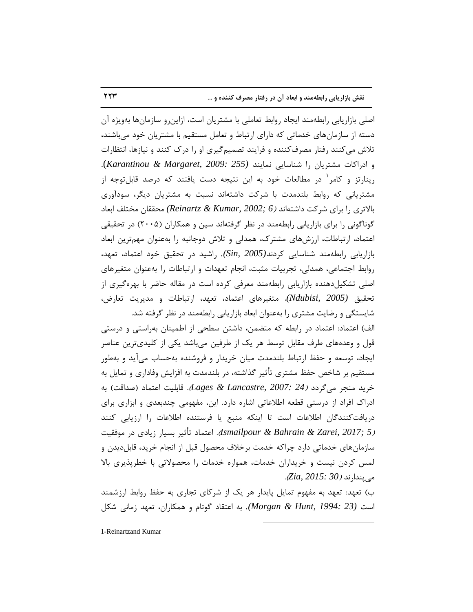اصلی بازاریابی رابطهمند ایجاد روابط تعاملی با مشتریان است، ازاینرو سازمانها بهویژه آن دسته از سازمانهای خدماتی که دارای ارتباط و تعامل مستقیم با مشتریان خود میباشند، تلاش میکنند رفتار مصرف کننده و فرایند تصمیم گیری او را درک کنند و نیازها، انتظارات و ادراکات مشتریان را شناسایی نمایند (255 :Karantinou & Margaret, 2009). رینارتز و کامر<sup>٬</sup> در مطالعات خود به این نتیجه دست یافتند که درصد قابلتوجه از مشتریانی که روابط بلندمدت با شرکت داشتهاند نسبت به مشتریان دیگر، سودآوری ثبالتطی ضا ثطای قطوت زاقتٝا٘س )*6 ;2002 ,Kumar & Reinartz (*ٔحممبٖ ٔرتّف اثقبز گوناگونی را برای بازاریابی رابطهمند در نظر گرفتهاند سین و همکاران (۲۰۰۵) در تحقیقی اعتماد، ارتباطات، ارزشهای مشترک، همدلی و تلاش دوجانبه را بهعنوان مهمترین ابعاد بازاریابی رابطهمند شناسایی كردند(2005 ,Sin). راشید در تحقیق خود اعتماد، تعهد، روابط اجتماعی، همدلی، تجربیات مثبت، انجام تعهدات و ارتباطات را بهعنوان متغیرهای اصلی تشکیلدهنده بازاریابی رابطهمند معرفی کرده است در مقاله حاضر با بهرهگیری از تحقیق *(Ndubisi, 2005)،* متغیرهای اعتماد، تعهد، ا<sub>ر</sub>تباطات و مدیریت تعارض، شایستگی و رضایت مشتری را بهعنوان ابعاد بازاریابی رابطهمند در نظر گرفته شد.

الف) اعتماد: اعتماد در رابطه که متضمن، داشتن سطحی از اطمینان بهراستی و درستی قول و وعدههای طرف مقابل توسط هر یک از طرفین می،باشد یکی از کلیدیترین عناصر ایجاد، توسعه و حفظ ارتباط بلندمدت میان خریدار و فروشنده بهحساب می آید و بهطور مستقیم بر شاخص حفظ مشتری تأثیر گذاشته، در بلندمدت به افزایش وفاداری و تمایل به خرید منج می گردد *(Lages & Lancastre, 2007: 24*). قابلیت اعتماد (صداقت) به ادراک افراد از درستی قطعه اطلاعاتی اشاره دارد. این، مفهومی چندبعدی و ابزاری برای دریافتکنندگان اطلاعات است تا اینکه منبع یا فرستنده اطلاعات را ارزیابی کنند ر*5 ;Ismailpour & Bahrain & Zarei, 2017).* اعتماد تأثیر بسیار زیادی در موفقیت سازمان های خدماتی دارد چراکه خدمت برخلاف محصول قبل از انجام خرید، قابل دیدن و لمس کردن نیست و خریداران خدمات، همواره خدمات را محصولاتی با خطرپذیری بالا ٔیپٙساض٘س )*30 2015: ,Zia*).

ب) تعهد: تعهد به مفهوم تمایل پایدار هر یک از شرکای تجاری به حفظ روابط ارزشمند است *(23 :Morgan & Hunt, 1994).* به اعتقاد گوتام و همکاران، تعهد زمانی شکل

 $\overline{a}$ 

1-Reinartzand Kumar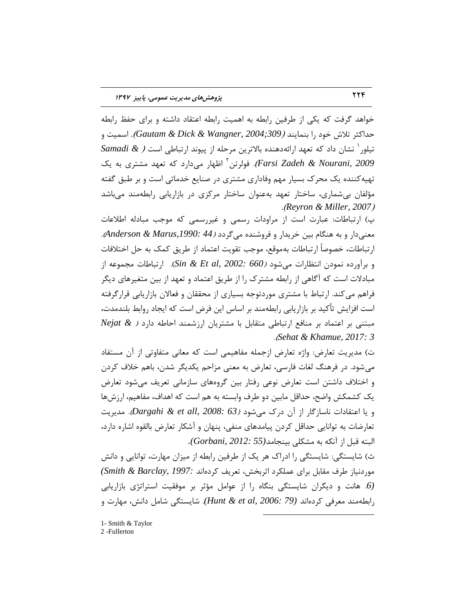خواهد گرفت که یکی از طرفین رابطه به اهمیت رابطه اعتقاد داشته و برای حفظ رابطه حداکثر تلاش خود را بنمایند *(309;309). 600xGautam & Dick & Wangner, 2* تیلور<sup>י</sup> نشان داد که تعهد ارائهدهنده بالاترین مرحله از پیوند ارتباطی است *( & Samadi Farsi Zadeh & Nourani, 2009).* فولرتن<sup>۲</sup> اظهار می۵ارد که تعهد مشتری به یک تهیه کننده یک محرک بسیار مهم وفاداری مشتری در صنایع خدماتی است و بر طبق گفته مؤلفان بیشماری، ساختار تعهد بهعنوان ساختار مرکزی در بازاریابی رابطهمند میباشد .)*Reyron & Miller, 2007*(

پ) ارتباطات: عبارت است از مراودات رسمی و غیررسمی که موجب مبادله اطلاعات ٔقٙیزاض ٚ ثٝ ٍٙٞبْ ثیٗ ذطیساض ٚ فطٚقٙسٜ ٔیٌطزز )*44 ,1990:Marus & Anderson*). ارتباطات، خصوصاً ارتباطات بهموقع، موجب تقويت اعتماد از طريق كمک به حل اختلافات و برآورده نمودن انتظارات می شود *(660 :Sin & Et al, 2002*). ارتباطات مجموعه از مبادلات است كه آگاهی از رابطه مشترک را از طریق اعتماد و تعهد از بین متغیرهای دیگر فراهم می کند. ارتباط با مشتری موردتوجه بسیاری از محققان و فعالان بازاریابی قرار گرفته است افزایش تأکید بر بازاریابی رابطهمند بر اساس این فرض است که ایجاد روابط بلندمدت، ٔجتٙی ثط افتٕبز ثط ٙٔبفـ اضتجبعی ٔتمبثُ ثب ٔكتطیبٖ اضظقٕٙس احبعٝ زاضز ) *& Nejat* .)*Sehat & Khamue, 2017: 3*

ت) مدیریت تعارض: واژه تعارض ازجمله مفاهیمی است که معانی متفاوتی از آن مستفاد میشود. در فرهنگ لغات فارسی، تعارض به معنی مزاحم یکدیگر شدن، باهم خلاف کردن و اختلاف داشتن است تعارض نوعی رفتار بین گروههای سازمانی تعریف می شود تعارض یک کشمکش واضح، حداقل مابین دو طرف وابسته به هم است که اهداف، مفاهیم، ارزشها و یا اعتقادات ناسازگار از آن درک میشود *(Dargahi & et all, 2008: 63).* مدیریت تعارضات به توانایی حداقل کردن پیامدهای منفی، پنهان و آشکار تعارض بالقوه اشاره دارد، البته قبل از آنكه به مشكلی بینجامد(6*012: 55).*<br>البته قبل از آنكه به مشكلی بینجامد(55 :Gorbani,

ث) شایستگی: شایستگی را ادراک هر یک از طرفین رابطه از میزان مهارت، توانایی و دانش ٛٔضز٘یبظ عطف ٔمبثُ ثطای فّٕىطز احطثرف، تقطیف وطزٜا٘س *1997: ,Barclay & Smith( (6.* هانت و دیگران شایستگی بنگاه را از عوامل مؤثر بر موفقیت استراتژی بازاریابی رابطهمند معرفی کردهاند (79 *:Hunt & et al, 2006).* شایستگی شامل دانش، مهارت و

 $\overline{a}$ 

1- Smith & Taylor

2 -Fullerton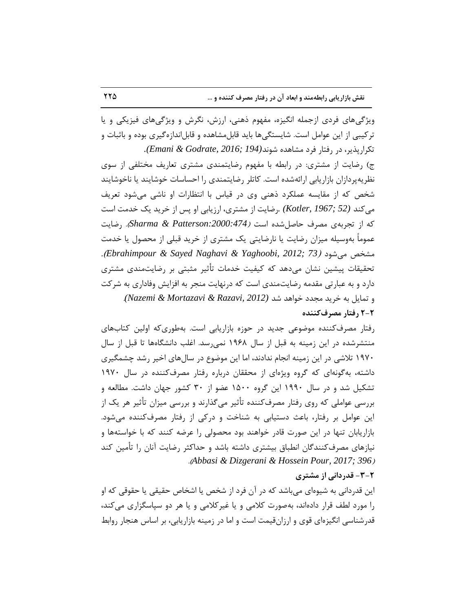ویژگیهای فردی ازجمله انگیزه، مفهوم ذهنی، ارزش، نگرش و ویژگیهای فیزیکی و یا ترکیبی از این عوامل است. شایستگیها باید قابل۵شاهده و قابلاندازهگیری بوده و باثبات و تكراريذير، د<sub>ر ر</sub>فتار فرد مشاهده شوند(*194 ;Emani & Godrate, 2016*). ج) رضایت از مشتری: در رابطه با مفهوم رضایتمندی مشتری تعاریف مختلفی از سوی نظریهپردازان بازاریابی ارائهشده است. کاتلر رضایتمندی را احساسات خوشایند یا ناخوشایند شخص که از مقایسه عملکرد ذهنی وی در قیاس با انتظارات او ناشی می شود تعریف هی كند (67; 52 Kotler, 1967; رضایت از مشتری، ارزیابی او پس از خرید یک خدمت است كه از تجربهی مصرف حاصل شده است *(174:Sharma & Patterson*). رضابت عموماً بهوسیله میزان رضایت یا نارضایتی یک مشتری از خرید قبلی از محصول یا خدمت .)*Ebrahimpour & Sayed Naghavi & Yaghoobi, 2012; 73*( زٛیقٔ كرمٔ تحقیقات پیشین نشان می۵هد که کیفیت خدمات تأثیر مثبتی بر رضایتمندی مشتری دارد و به عبارتی مقدمه رضایتمندی است که درنهایت منجر به افزایش وفاداری به شرکت ٚ تٕبیُ ثٝ ذطیس ٔزسز ذٛاٞس قس *(2012 ,Razavi & Mortazavi & Nazemi(*. **2-2 رفتار هصزفکٌٌسُ**

رفتار مصرفکننده موضوعی جدید در حوزه بازاریابی است. بهطوریکه اولین کتابهای منتشرشده در این زمینه به قبل از سال ۱۹۶۸ نمی رسد. اغلب دانشگاهها تا قبل از سال ۱۹۷۰ تلاشی در این زمینه انجام ندادند، اما این موضوع در سالهای اخیر رشد چشمگیری داشته، به گونهای که گروه ویژهای از محققان درباره رفتار مصرف کننده در سال ۱۹۷۰ تشكيل شد و در سال ۱۹۹۰ این گروه ۱۵۰۰ عضو از ۳۰ كشور جهان داشت. مطالعه و بررسی عواملی که روی رفتار مصرفکننده تأثیر میگذارند و بررسی میزان تأثیر هر یک از این عوامل بر رفتار، باعث دستیابی به شناخت و درکی از رفتار مصرف کننده می شود. بازاریابان تنها در این صورت قادر خواهند بود محصولی را عرضه کنند که با خواستهها و نیازهای مصرفکنندگان انطباق بیشتری داشته باشد و حداکثر رضایت آنان ,ا تأمین کند .)*Abbasi & Dizgerani & Hossein Pour, 2017; 396*(

### **-3-2 قسرزاًی اس هطتزی**

این قدردانی به شیوهای میباشد که در آن فرد از شخص یا اشخاص حقیقی یا حقوقی که او را مورد لطف قرار دادهاند، بهصورت کلامی و یا غیرکلامی و یا هر دو سپاسگزاری می کند، قدرشناسی انگیزهای قوی و ارزان قیمت است و اما در زمینه بازاریابی، بر اساس هنجار روابط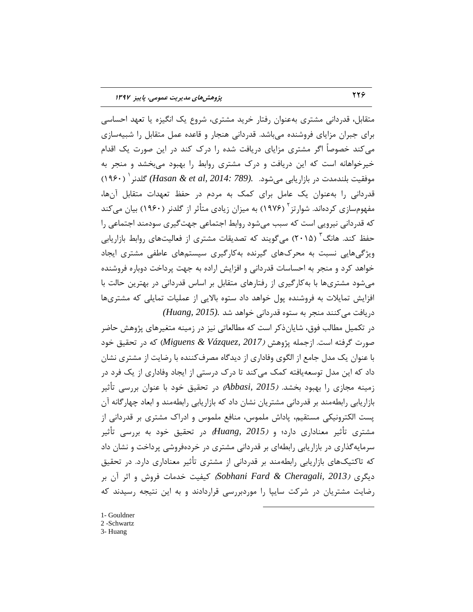متقابل، قدردانی مشتری بهعنوان رفتار خرید مشتری، شروع یک انگیزه یا تعهد احساسی برای جبران مزایای فروشنده میباشد. قدردانی هنجار و قاعده عمل متقابل را شبیهسازی می کند خصوصاً اگر مشتری مزایای دریافت شده را درک کند در این صورت یک اقدام خیرخواهانه است كه این دریافت و درک مشتری روابط را بهبود میبخشد و منجر به موفقیت بلندمدت در بازاریابی میشود. *.(Hasan & et al, 2014: 789)* گلدنر ` (١٩۶٠) قدردانی را به عنوان یک عامل برای کمک به مردم در حفظ تعهدات متقابل آنها، مفهومسازی کردهاند. شوارتز<sup>۲</sup> (۱۹۷۶) به میزان زیادی متأثر از گلدنر (۱۹۶۰) بیان میکند که قدردانی نیرویی است که سبب میشود روابط اجتماعی جهت گیری سودمند اجتماعی را حفظ کند. هانگ<sup>۳</sup> (۲۰۱۵) میگویند که تصدیقات مشتری از فعالیتهای روابط بازاریابی ویژگیهایی نسبت به محرکهای گیرنده بهکارگیری سیستمهای عاطفی مشتری ایجاد خواهد کرد و منجر به احساسات قدردانی و افزایش اراده به جهت پرداخت دوباره فروشنده میشود مشتریها با به کارگیری از رفتارهای متقابل بر اساس قدردانی در بهترین حالت با افزایش تمایلات به فروشنده پول خواهد داد ستوه بالایی از عملیات تمایلی که مشتریها دریافت می کنند منجر به ستوه قدردانی خواهد شد .(Huang, 2015

در تکمیل مطالب فوق، شایانِ ذکر است که مطالعاتی نیز در زمینه متغیرهای پژوهش حاضر صورت گرفته است. ازجمله پژوهش *(Miguens & Vázquez, 2017)* كه در تحقیق خود با عنوان یک مدل جامع از الگوی وفاداری از دیدگاه مصرف کننده با رضایت از مشتری نشان داد که این مدل توسعهیافته کمک می کند تا درک درستی از ایجاد وفاداری از یک فرد در زمینه مجازی را بهبود بخشد. *(Abbasi, 2015*) در تحقیق خود با عنوان بررسی تأثیر بازاریابی رابطهمند بر قدردانی مشتریان نشان داد كه بازاریابی رابطهمند و ابعاد چهارگانه آن یست الکترونیکی مستقیم، پاداش ملموس، منافع ملموس و ادراک مشتری بر قدردانی از هشتری تأثیر معناداری دارد؛ و *(Huang, 2015)* در تحقیق خود به بررسی تأثیر سرمایه گذاری در بازاریابی رابطهای بر قدردانی مشتری در خردهفروشی پرداخت و نشان داد که تاکتیکهای بازاریابی رابطهمند بر قدردانی از مشتری تأثیر معناداری دارد. در تحقیق زیٍطی )*2013 ,Cheragali & Fard Sobhani* )ویفیت ذسٔبت فطٚـ ٚ احط آٖ ثط رضایت مشتریان در شرکت سایپا را موردبررسی قراردادند و به این نتیجه رسیدند که

 $\overline{a}$ 

- 1- Gouldner
- 2 -Schwartz
- 3- Huang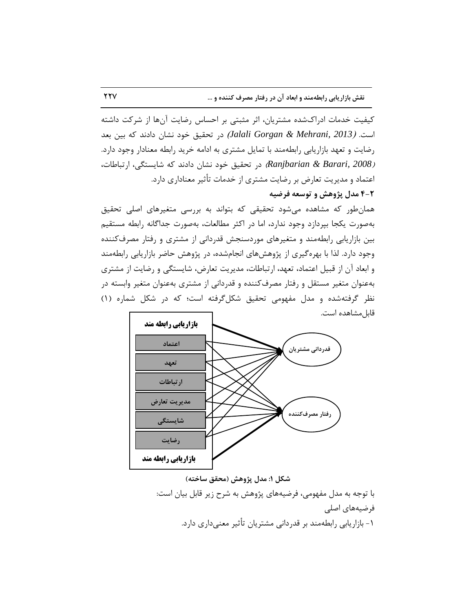کیفیت خدمات ادراکشده مشتریان، اثر مثبتی بر احساس رضایت آنها از شرکت داشته است. *(Jalali Gorgan & Mehrani, 2013)* در تحقیق خود نشان دادند كه بین بعد رضایت و تعهد بازاریابی رابطهمند با تمایل مشتری به ادامه خرید رابطه معنادار وجود دارد. *(Ranjbarian & Barari, 2008)* در تحقیق خود نشان دادند كه شایستگی، ارتباطات، اعتماد و مدیریت تعارض بر رضایت مشتری از خدمات تأثیر معناداری دارد.

**4-2 هسل پژٍّص ٍ تَسؼِ فزضیِ**

همانطور که مشاهده می شود تحقیقی که بتواند به بررسی متغیرهای اصلی تحقیق بهصورت یکجا بپردازد وجود ندارد، اما در اکثر مطالعات، بهصورت جداگانه رابطه مستقیم بین بازاریابی رابطهمند و متغیرهای موردسنجش قدردانی از مشتری و رفتار مصرف كننده وجود دارد. لذا با بهره گیری از پژوهشهای انجامشده، در پژوهش حاضر بازاریابی رابطهمند و ابعاد آن از قبیل اعتماد، تعهد، ارتباطات، مدیریت تعارض، شایستگی و رضایت از مشتری بهعنوان متغیر مستقل و رفتار مصرف كننده و قدردانی از مشتری بهعنوان متغیر وابسته در نظر گرفتهشده و مدل مفهومی تحقیق شكل گرفته است؛ كه در شكل شماره (۱) قابل مشاهده است.



**ضکل :1 هسل پژٍّص )هحقق ساذتِ(**

با توجه به مدل مفهومی، فرضیههای پژوهش به شرح زیر قابل بیان است: فرضیههای اصلی ۱ - بازاریابی رابطهمند بر قدردانی مشتریان تأثیر معنی،داری دارد.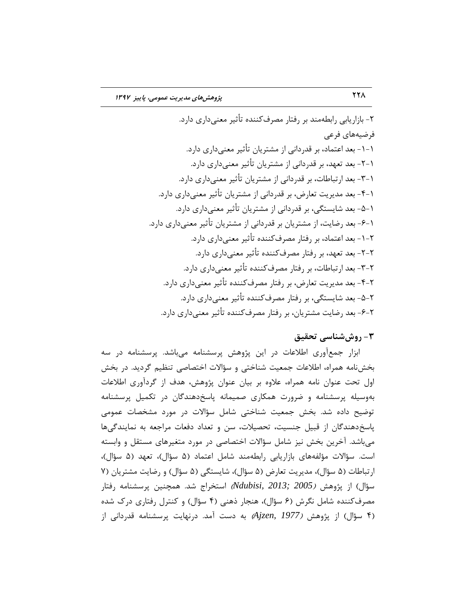۲- بازاریابی رابطهمند بر رفتار مصرف کننده تأثیر معنیداری دارد. فرضیههای فرعی ۱-۱- بعد اعتماد، بر قدردانی از مشتریان تأثیر معنی،داری دارد. ۱-۲- بعد تعهد، بر قدردانی از مشتریان تأثیر معنی،داری دارد. ۱-۳- بعد ارتباطات، بر قدردانی از مشتریان تأثیر معنی،داری دارد. ۱-۴- بعد مدیریت تعارض، بر قدردانی از مشتریان تأثیر معنیداری دارد. ۱-۵- بعد شایستگی، بر قدردانی از مشتریان تأثیر معنیٍداری دارد. ۱-۶- بعد رضایت، از مشتریان بر قدردانی از مشتریان تأثیر معنیداری دارد. -1-2 ثقس افتٕبز، ثط ضفتبض ٔهطفوٙٙسٜ تأحیط ٔقٙیزاضی زاضز. -2-1-2 بعد تعهد، بر رفتار مصرف *ک*ننده تأثیر معنی داری دارد. ۲-۳- بعد ارتباطات، بر رفتار مصرف کننده تأثیر معنی داری دارد. -4-2 ثقس ٔسیطیت تقبضو، ثط ضفتبض ٔهطفوٙٙسٜ تأحیط ٔقٙیزاضی زاضز. -5-2 نعد شایستگی، بر رفتار مصرف *ک*ننده تأثیر معنی داری دارد. ۲-۶- بعد رضایت مشتریان، بر رفتار مصرفکننده تأثیر معنیداری دارد.

## **-3 رٍشضٌاسی تحقیق**

ابزار جمعآوری اطلاعات در این پژوهش پرسشنامه میباشد. پرسشنامه در سه بخشنامه همراه، اطلاعات جمعیت شناختی و سؤالات اختصاصی تنظیم گردید. در بخش اول تحت عنوان نامه همراه، علاوه بر بیان عنوان پژوهش، هدف از گردآوری اطلاعات بهوسیله پرسشنامه و ضرورت همکاری صمیمانه پاسخدهندگان در تکمیل پرسشنامه توضیح داده شد. بخش جمعیت شناختی شامل سؤالات در مورد مشخصات عمومی پاسخ دهندگان از قبیل جنسیت، تحصیلات، سن و تعداد دفعات مراجعه به نمایندگیها میباشد. آخرین بخش نیز شامل سؤالات اختصاصی در مورد متغیرهای مستقل و وابسته است. سؤالات مؤلفههای بازاریابی رابطهمند شامل اعتماد (۵ سؤال)، تعهد (۵ سؤال)، ارتباطات (۵ سؤال)، مدیریت تعارض (۵ سؤال)، شایستگی (۵ سؤال) و رضایت مشتریان (۷ سؤال) از پژوهش *(2005 ;Ndubisi, 2013 اس*تخراج شد. همچنین پرسشنامه رفتار مصرف کننده شامل نگرش (۶ سؤال)، هنجار ذهنی (۴ سؤال) و کنترل رفتاری درک شده )4 ؾؤاَ( اظ پػٞٚف )*1977 ,Ajzen* )ثٝ زؾت آٔس. زضٟ٘بیت پطؾكٙبٝٔ لسضزا٘ی اظ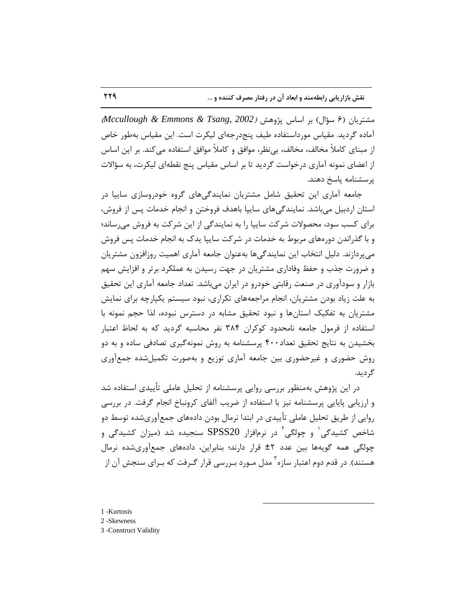ٔكتطیبٖ )6 ؾؤاَ( ثط اؾبؼ پػٞٚف )*2002 ,Tsang & Emmons & Mccullough*) آماده گردید. مقیاس مورداستفاده طیف پنجدرجهای لیکرت است. این مقیاس بهطور خاص از مبنای کاملاً مخالف، مخالف، بی نظر، موافق و کاملاً موافق استفاده می کند. بر این اساس از اعضای نمونه آماری درخواست گردید تا بر اساس مقیاس پنج نقطهای لیکرت، به سؤالات پرسشنامه پاسخ دهند.

جامعه آماری این تحقیق شامل مشتریان نمایندگی های گروه خودروسازی ساییا در استان اردبیل می باشد. نمایندگی های ساییا باهدف فروختن و انجام خدمات پس از فروش، برای کسب سود، محصولات شرکت سایپا را به نمایندگی از این شرکت به فروش میرساند؛ و با گذراندن دورههای مربوط به خدمات در شرکت سایپا یدک به انجام خدمات پس فروش می پردازند. دِلیل انتخاب این نمایندگیها بهعنوان جامعه آماری اهمیت روزافزون مشتریان و ضرورت جذب و حفظ وفاداری مشتریان در جهت رسیدن به عملکرد برتر و افزایش سهم بازار و سودآوری در صنعت رقابتی خودرو در ایران میباشد. تعداد جامعه آماری این تحقیق به علت زیاد بودن مشتریان، انجام مراجعههای تکراری، نبود سیستم یکیارچه برای نمایش مشتریان به تفکیک استانها و نبود تحقیق مشابه در دسترس نبوده، لذا حجم نمونه با استفاده از فرمول جامعه نامحدود کوکران ۳۸۴ نفر محاسبه گردید که به لحاظ اعتبار بخشیدن به نتایج تحقیق تعداد۴۰۰ پرسشنامه به روش نمونهگیری تصادفی ساده و به دو روش حضوری و غیرحضوری بین جامعه آماری توزیع و بهصورت تکمیل شده جمعآوری گر دید.

در این پژوهش بهمنظور بررسی روایی پرسشنامه از تحلیل عاملی تأییدی استفاده شد و ارزیابی پایایی پرسشنامه نیز با استفاده از ضریب آلفای کرونباخ انجام گرفت. در بررسی روایی از طریق تحلیل عاملی تأییدی در ابتدا نرمال بودن دادههای جمعآوریشده توسط دو شاخص کشیدگی<sup>۱</sup> و چولگی<sup>۲</sup> در نرمافزار SPSS20 سنجیده شد (میزان کشیدگی و چولگی همه گویهها بین عدد ۲± قرار دارند؛ بنابراین، دادههای جمعآوریشده نرمال هستند). در قدم دوم اعتبار سازه<sup>۳</sup> مدل مـورد بـررسی قرار گـرفت که بـرای سنجش آن از

 $\overline{a}$ 

1 -Kurtosis

2 -Skewness

3 -Construct Validity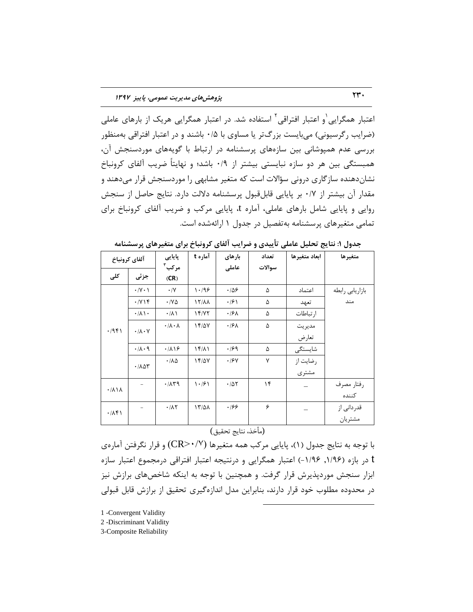اعتبار همگرایی ٰو اعتبار افتراقی ٔ استفاده شد. در اعتبار همگرایی هریک از بارهای عاملی (ضرایب رگرسیونی) میبایست بزرگتر یا مساوی با ۰/۵ باشند و در اعتبار افتراقی بهمنظور بررسی عدم همپوشانی بین سازههای پرسشنامه در ارتباط با گویههای موردسنجش آن، همبستگی بین هر دو سازه نبایستی بیشتر از ۰/۹ باشد؛ و نهایتاً ضریب آلفای کرونباخ نشانِدهنده سازگاری درونی سؤالات است که متغیر مشابهی را موردسنجش قرار میدهند و مقدار آن بیشتر از ۰/۷ بر پایایی قابلِ قبول پرسشنامه دلالت دارد. نتایج حاصل از سنجش روایی و پایایی شامل بارهای عاملی، آماره t، پایایی مرکب و ضریب آلفای کرونباخ برای تمامی متغیرهای پرسشنامه بهتفصیل در جدول ۱ ارائهشده است.

| آلفاي كرونباخ                     |                                  | پایایی                      | آماره t             | بارهای           | تعداد        | ابعاد متغيرها | متغيرها         |
|-----------------------------------|----------------------------------|-----------------------------|---------------------|------------------|--------------|---------------|-----------------|
|                                   |                                  | مركب <sup>۳</sup>           |                     | عاملى            | سوالات       |               |                 |
| کلی                               | جزئي                             | (CR)                        |                     |                  |              |               |                 |
| .7951                             | $\cdot$ /Y $\cdot$ \             | $\cdot/\Upsilon$            | 1.199               | .189             | ۵            | اعتماد        | بازاريابي رابطه |
|                                   | $\cdot$ / $\vee$ ) $\uparrow$    | $\cdot$ /Y $\Delta$         | $17/\lambda\lambda$ | $\cdot$ /۶ \     | ۵            | تعهد          | مند             |
|                                   | $\cdot/\lambda$                  | $\cdot/\lambda$             | 15/77               | .19 <sub>A</sub> | ۵            | ارتباطات      |                 |
|                                   | $\cdot/\lambda\cdot V$           | $\cdot/\lambda\cdot\lambda$ | 14/07               | .19 <sub>A</sub> | ۵            | مديريت        |                 |
|                                   |                                  |                             |                     |                  |              | تعارض         |                 |
|                                   | $\cdot/\lambda\cdot$ 9           | .719                        | $1f/\lambda$        | .199             | ۵            | شایستگی       |                 |
|                                   | $\cdot$ / $\wedge \wedge \wedge$ | $\cdot/\lambda\Delta$       | 15/2V               | .19Y             | $\mathsf{v}$ | رضايت از      |                 |
|                                   |                                  |                             |                     |                  |              | مشترى         |                 |
| $\cdot/\lambda \setminus \lambda$ |                                  | .71                         | 1.91                | .705             | ۱۴           |               | رفتار مصرف      |
|                                   |                                  |                             |                     |                  |              |               | كننده           |
| .71                               |                                  | .71                         | $17/\Delta\lambda$  | .199             | ۶            |               | قدردانی از      |
|                                   |                                  |                             |                     |                  |              |               | مشتريان         |

جدول ۱: نتایج تحلیل عاملی تأییدی و ضرایب آلفای کرونباخ برای متغیرهای پرسشنامه

#### (مأخذ، نتايج تحقيق)

با توجه به نتایج جدول (۱)، پایایی مرکب همه متغیرها (CR>۰/۷) و قرار نگرفتن آمارهی t در بازه (۱/۹۶, ۱/۹۶–) اعتبار همگرایی و درنتیجه اعتبار افتراقی درمجموع اعتبار سازه ابزار سنجش موردپذیرش قرار گرفت. و همچنین با توجه به اینکه شاخصهای برازش نیز در محدوده مطلوب خود قرار دارند، بنابراین مدل اندازهگیری تحقیق از برازش قابل قبولی

 $\overline{a}$ 

1 -Convergent Validity

2 -Discriminant Validity

3-Composite Reliability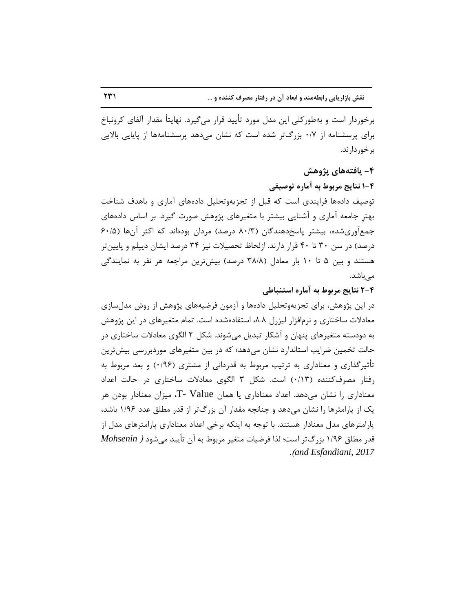برخوردار است و بهطور کلی این مدل مورد تأیید قرار می گیرد. نهایتاً مقدار آلفای کرونباخ برای پرسشنامه از ۰/۷ بزرگتر شده است كه نشان میدهد پرسشنامهها از پایایی بالایی بر خور دارند.

## **-4 یافتِّای پژٍّص**

**1-4 ًتایج هزتَط تِ آهارُ تَصیفی**

توصیف دادهها فرایندی است که قبل از تجزیهوتحلیل دادههای آماری و باهدف شناخت بهتر جامعه آماری و آشنایی بیشتر با متغیرهای پژوهش صورت گیرد. بر اساس دادههای جمع آوریشده، بیشتر پاسخدهندگان (۸۰/۳ درصد) مردان بودهاند كه اكثر آنها (۶۰/۵ درصد) در سن ۳۰ تا ۴۰ قرار دارند. ازلحاظ تحصیلات نیز ۳۴ درصد ایشان دیپلم و پایین تر هستند و بین ۵ تا ۱۰ بار معادل (۳۸/۸ درصد) بیشترین مراجعه هر نفر به نمایندگی مے باشد.

**2-4 ًتایج هزتَط تِ آهارُ استٌثاطی**

در این پژوهش، برای تجزیهوتحلیل دادهها و آزمون فرضیههای پژوهش از روش مدلسازی معادلات ساختاری و نرمافزار لیزرل ۸.۸، استفادهشده است. تمام متغیرهای در این پژوهش به دودسته متغیرهای پنهان و آشکار تبدیل میشوند. شکل ۲ الگوی معادلات ساختاری در حالت تخمین ضرایب استاندارد نشان می۵هد؛ که در بین متغیرهای موردبررسی بیش ترین تأثیرگذاری و معناداری به ترتیب مربوط به قدردانی از مشتری (۱۹۶۰) و بعد مربوط به رفتار مصرف کننده (۰/۱۳) است. شکل ۳ الگوی معادلات ساختاری در حالت اعداد معناداری را نشان میدهد. اعداد معناداری یا همان T- Value، میزان معنادار بودن هر یک از پارامترها را نشان می۵هد و چنانچه مقدار آن بزرگتر از قدر مطلق عدد ۱/۹۶ باشد، پارامترهای مدل معنادار هستند. با توجه به اینکه برخی اعداد معناداری پارامترهای مدل از قدر مطلق ۱/۹۶ بزرگ تر است؛ لذا فرضیات متغیر مربوط به آن تأیید می شود *( Mohsenin* .)*and Esfandiani, 2017*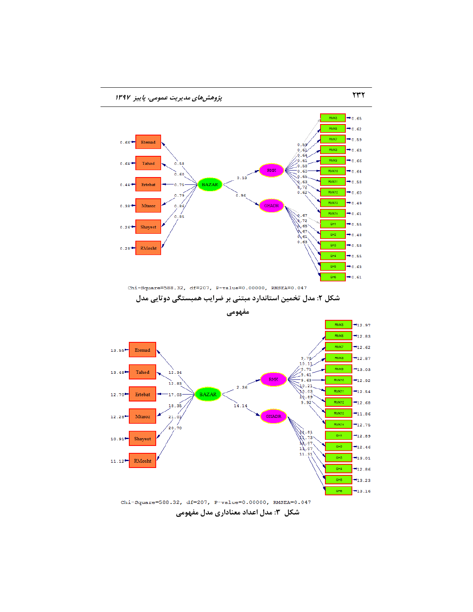

Chi-Square=588.32, df=207, P-value=0.00000, RMSEA=0.047 شکل ۳: مدل اعداد معناداری مدل مفهومی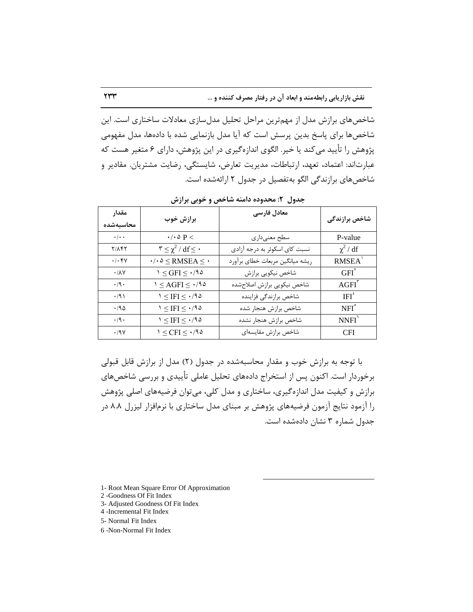**ًقص تاساریاتی راتطِهٌس ٍ اتؼاز آى زر رفتار هصزف کٌٌسُ ٍ ...** 233

شاخصهای برازش مدل از مهمترین مراحل تحلیل مدلسازی معادلات ساختاری است. این شاخصها برای پاسخ بدین پرسش است که آیا مدل بازنمایی شده با دادهها، مدل مفهومی پژوهش را تأیید می کند یا خیر. الگوی اندازهگیری در این پژوهش، دارای ۶ متغیر هست که عبارتاند: اعتماد، تعهد، ارتباطات، مدیریت تعارض، شایستگی، رضایت مشتریان. مقادیر و شاخصهای برازندگی الگو به تفصیل در جدول ۲ ارائهشده است.

| مقدار<br>محاسىهشده                         | برازش خوب                                                    | معادل فارسى                     | شاخص برازندگی      |
|--------------------------------------------|--------------------------------------------------------------|---------------------------------|--------------------|
| $\cdot$ / $\cdot$ $\cdot$                  | $\cdot/\cdot \Delta$ P $<$                                   | سطح معنىداري                    | P-value            |
| Y/AFY                                      | $\mathbf{r} \leq \chi^2 / df \leq \cdot$                     | نسبت کای اسکوئر به درجه آزادی   | $\chi^2$ / df      |
| $\boldsymbol{\cdot}/\boldsymbol{\cdot}$ ۴٧ | $\cdot/\cdot \Delta \leq \mathrm{RMSEA} \leq \cdot$          | ریشه میانگین مربعات خطای برآورد | RMSEA <sup>'</sup> |
| $\cdot/\lambda\mathrm{V}$                  | $1 \leq$ GFI $\leq \cdot$ /92                                | شاخص نيكويي برازش               | $GFI^{\prime}$     |
| $\cdot$ /9 $\cdot$                         | $1 \leq \text{AGFI} \leq \cdot$ /94                          | شاخص نيكويي برازش اصلاحشده      | $AGFI^{\dagger}$   |
| $\cdot$ /9)                                | $\mathcal{M} \leq \mathrm{IFI} \leq \mathcal{M} \mathcal{M}$ | شاخص برازندگی فزاینده           | $IFI^*$            |
| .790                                       | $1 \leq IFI \leq \cdot 190$                                  | شاخص برازش هنجار شده            | NFI <sup>°</sup>   |
| $\cdot$ /9 $\cdot$                         | $1 \leq IFI \leq \cdot 190$                                  | شاخص برازش هنجار نشده           | NNFI <sup>1</sup>  |
| $\cdot$ /9 $\gamma$                        | $1 \leq CFI \leq \cdot 190$                                  | شاخص برازش مقايسهاى             | <b>CFI</b>         |

جدول ۲: محدوده دامنه شاخص و خوبی برازش

با توجه به برازش خوب و مقدار محاسبهشده در جدول (۲) مدل از برازش قابل قبولی برخوردار است. اکنون پس از استخراج دادههای تحلیل عاملی تأییدی و بررسی شاخصهای برازش و کیفیت مدل اندازه گیری، ساختاری و مدل کلی، می توان فرضیههای اصلی پژوهش را آزمود نتایج آزمون فرضیههای پژوهش بر مبنای مدل ساختاری با نرمافزار لیزرل ۸.۸ در جدول شماره ٣ نشان دادهشده است.

 $\overline{a}$ 

1- Root Mean Square Error Of Approximation

2 -Goodness Of Fit Index

- 3- Adjusted Goodness Of Fit Index
- 4 -Incremental Fit Index

5- Normal Fit Index

6 -Non-Normal Fit Index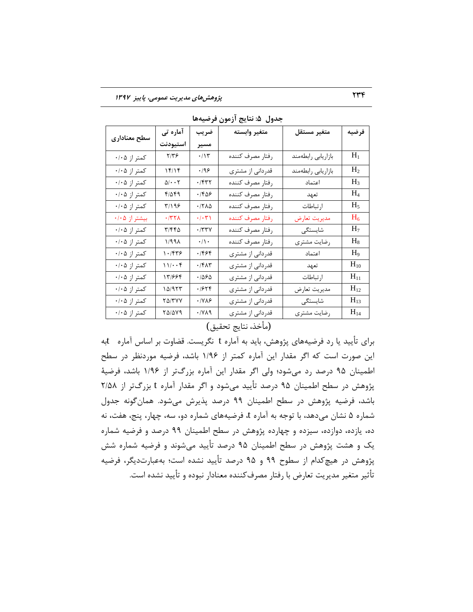| سطح معنادارى  | آماره تی                                                                                 | ضريب                      | متغير وابسته     | متغير مستقل        | فرضيه          |
|---------------|------------------------------------------------------------------------------------------|---------------------------|------------------|--------------------|----------------|
|               | استيودنت                                                                                 | مسير                      |                  |                    |                |
| کمتر از ۰/۰۵  | 7/79                                                                                     | $\cdot/\mathcal{N}$       | رفتار مصرف كننده | بازاريابي رابطهمند | $H_1$          |
| کمتر از ۰/۰۵  | 15/15                                                                                    | $\cdot$ /98               | قدردانی از مشتری | بازاريابي رابطهمند | H <sub>2</sub> |
| کمتر از ۰/۰۵  | $\Delta/\bullet\bullet\top$                                                              | $\cdot$ $/$ ۴۳۲           | رفتار مصرف كننده | اعتماد             | $H_3$          |
| کمتر از ۰/۰۵  | 41549                                                                                    | ۰/۴۵۶                     | رفتار مصرف كننده | تعهد               | $H_4$          |
| کمتر از ۰/۰۵  | $\mathcal{F}/\mathcal{M}$                                                                | $\cdot$ /٢٨ $\Delta$      | رفتار مصرف كننده | ارتباطات           | $H_5$          |
| بیشتر از ۰/۰۵ | $\cdot$ /٣٢٨                                                                             | $\cdot/\cdot\,\mathsf{r}$ | رفتار مصرف كننده | مديريت تعارض       | $H_6$          |
| کمتر از ۰/۰۵  | ۳/۴۴۵                                                                                    | ۰/۳۳۷                     | رفتار مصرف كننده | شایستگی            | H <sub>7</sub> |
| کمتر از ۰/۰۵  | 1/991                                                                                    | $\cdot/\backslash$ .      | رفتار مصرف كننده | رضايت مشترى        | $H_8$          |
| کمتر از ۰/۰۵  | 1.799                                                                                    | ۰/۴۶۴                     | قدردانی از مشتری | اعتماد             | $H_9$          |
| کمتر از ۰/۰۵  | 11/4.9                                                                                   | $\cdot$ /۴۸۳              | قدردانی از مشتری | تعهد               | $H_{10}$       |
| کمتر از ۰/۰۵  | 13964                                                                                    | ۱۵۶۵.                     | قدردانی از مشتری | ارتباطات           | $H_{11}$       |
| کمتر از ۰/۰۵  | $\begin{array}{c} \text{1}\ \text{0}/\text{1}\ \text{7}\ \text{7}\ \text{0} \end{array}$ | .1979                     | قدردانی از مشتری | مديريت تعارض       | $H_{12}$       |
| کمتر از ۰/۰۵  | <b>70/۳YY</b>                                                                            | ۰/۷۸۶                     | قدردانی از مشتری | شایستگی            | $H_{13}$       |
| کمتر از ۰/۰۵  | $Y\Delta/\Delta Y$ ۹                                                                     | $\cdot$ /YA9              | قدردانی از مشتری | رضايت مشترى        | $H_{14}$       |

جدول ۵: نتایج آزمون فرضیهها

## (مأخذ، نتايج تحقيق)

برای تأیید یا رد فرضیههای پژوهش، باید به آماره t نگریست. قضاوت بر اساس آماره tبه این صورت است که اگر مقدار این آماره کمتر از ۱/۹۶ باشد، فرضیه موردنظر در سطح اطمینان ۹۵ درصد رد می شود؛ ولی اگر مقدار این آماره بزرگتر از ۱/۹۶ باشد، فرضیهٔ پژوهش در سطح اطمینان ۹۵ درصد تأیید میشود و اگر مقدار آماره t بزرگتر از ۲/۵۸ باشد، فرضیه پژوهش در سطح اطمینان ۹۹ درصد پذیرش میشود. همان گونه جدول شماره ۵ نشان میدهد، با توجه به آماره t، فرضیههای شماره دو، سه، چهار، پنج، هفت، نه ده، یازده، دوازده، سیزده و چهارده پژوهش در سطح اطمینان ۹۹ درصد و فرضیه شماره یک و هشت پژوهش در سطح اطمینان ۹۵ درصد تأیید میشوند و فرضیه شماره شش پژوهش در هیچ كدام از سطوح ۹۹ و ۹۵ درصد تأیید نشده است؛ بهعبارتدیگر، فرضیه تأثیر متغیر مدیریت تعارض با رفتار مصرف كننده معنادار نبوده و تأیید نشده است.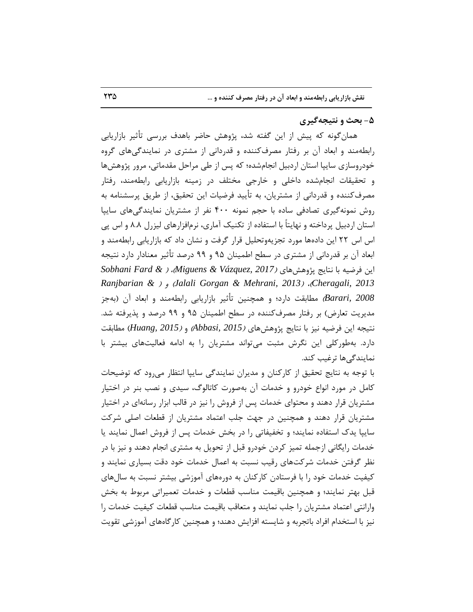#### **-5 تحث ٍ ًتیجِگیزی**

همان گونه که پیش از این گفته شد، پژوهش حاضر باهدف بررسی تأثیر بازاریابی رابطهمند و ابعاد آن بر رفتار مصرف کننده و قدردانی از مشتری در نمایندگیهای گروه خودروسازی سایپا استان اردبیل انجامشده؛ که پس از طی مراحل مقدماتی، مرور پژوهشها و تحقیقات انجامشده داخلی و خارجی مختلف در زمینه بازاریابی رابطهمند، رفتار مصرف كننده و قدردانی از مشتریان، به تأیید فرضیات این تحقیق، از طریق پرسشنامه به روش نمونهگیری تصادفی ساده با حجم نمونه ۴۰۰ نفر از مشتریان نمایندگیهای ساییا استان اردبیل پرداخته و نهایتاً با استفاده از تکنیک آماری، نرمافزارهای لیزرل ۸.۸ و اس پی اس اس ٢٢ این دادهها مورد تجزیهوتحلیل قرار گرفت و نشان داد كه بازاریابی رابطهمند و ابعاد آن بر قدردانی از مشتری در سطح اطمینان ۹۵ و ۹۹ درصد تأثیر معنادار دارد نتیجه این فرضیه با نتایج پژوهشهای *(2017 ,Miguens & Vázquez ، 2017 Ranjbarian &* ( ٚ )*Jalali Gorgan & Mehrani, 2013*( ،)*Cheragali, 2013 2008 ,Barari* )ٔغبثمت زاضز؛ ٚ ٕٞچٙیٗ تأحیط ثبظاضیبثی ضاثغٙٔٝس ٚ اثقبز آٖ )ثٝرع مدیریت تعارض) بر رفتار مصرفکننده در سطح اطمینان ۹۵ و ۹۹ درصد و پذیرفته شد. نتیجه این فرضیه نیز با نتایج پژوهشهای *(Abbasi, 2015 , <i>Abbasi*) مطابقت دارد. بهطوركلی این نگرش مثبت میتواند مشتریان را به ادامه فعالیتهای بیشتر با نمایندگے ها ترغیب کند.

با توجه به نتایج تحقیق از کارکنان و مدیران نمایندگی سایپا انتظار میرود که توضیحات کامل در مورد انواع خودرو و خدمات آن بهصورت کاتالوگ، سیدی و نصب بنر در اختیار مشتریان قرار دهند و محتوای خدمات پس از فروش را نیز در قالب ابزار رسانهای در اختیار مشتریان قرار دهند و همچنین در جهت جلب اعتماد مشتریان از قطعات اصلی شرکت سایپا یدک استفاده نمایند؛ و تخفیفاتی را در بخش خدمات پس از فروش اعمال نمایند یا خدمات رایگانی ازجمله تمیز کردن خودرو قبل از تحویل به مشتری انجام دهند و نیز با در نظر گرفتن خدمات شرکتهای رقیب نسبت به اعمال خدمات خود دقت بسیاری نمایند و کیفیت خدمات خود را با فرستادن کارکنان به دورههای آموزشی بیشتر نسبت به سالهای قبل بهتر نمایند؛ و همچنین باقیمت مناسب قطعات و خدمات تعمیراتی مربوط به بخش وارانتی اعتماد مشتریان را جلب نمایند و متعاقب باقیمت مناسب قطعات کیفیت خدمات را نیز با استخدام افراد باتجربه و شایسته افزایش دهند؛ و همچنین کارگاههای آموزشی تقویت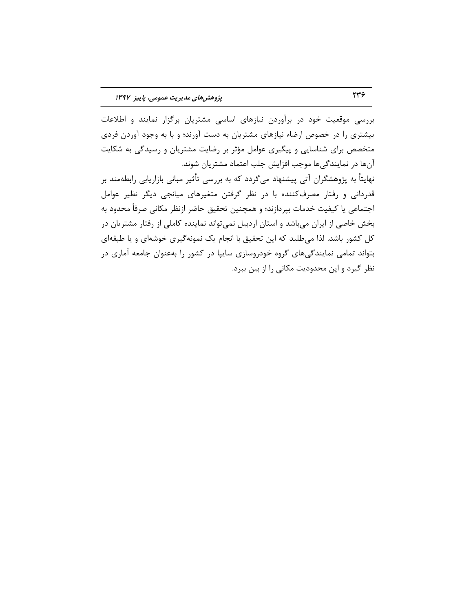بررسی موقعیت خود در برآوردن نیازهای اساسی مشتریان برگزار نمایند و اطلاعات بیشتری را در خصوص ارضاء نیازهای مشتریان به دست آورند؛ و با به وجود آوردن فردی متخصص برای شناسایی و پیگیری عوامل مؤثر بر رضایت مشتریان و رسیدگی به شکایت آنها در نمایندگیها موجب افزایش جلب اعتماد مشتریان شوند. نهایتاً به پژوهشگران آتی پیشنهاد میگردد که به بررسی تأثیر مبانی بازاریابی رابطهمند بر قدردانی و رفتار مصرف کننده با در نظر گرفتن متغیرهای میانجی دیگر نظیر عوامل اجتماعی یا کیفیت خدمات بپردازند؛ و همچنین تحقیق حاضر ازنظر مکانی صرفاً محدود به بخش خاصی از ایران میباشد و استان اردبیل نمیتواند نماینده کاملی از رفتار مشتریان در كل كشور باشد. لذا میطلبد كه این تحقیق با انجام یک نمونهگیری خوشهای و یا طبقهای

بتواند تمامی نمایندگیهای گروه خودروسازی سایپا در کشور را بهعنوان جامعه آماری در نظر گیرد و این محدودیت مکانی را از بین ببرد.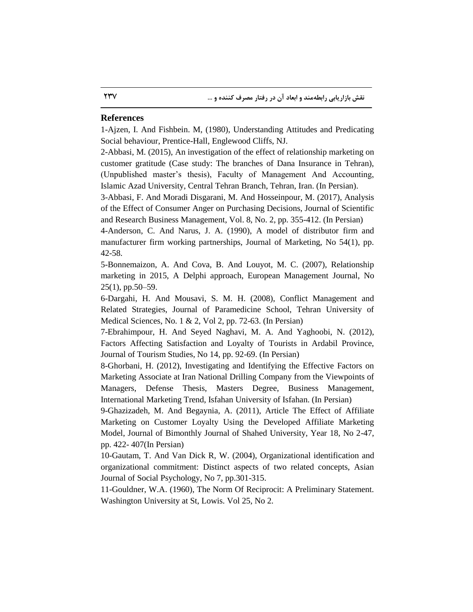#### **References**

1-Ajzen, I. And Fishbein. M, (1980), Understanding Attitudes and Predicating Social behaviour, Prentice-Hall, Englewood Cliffs, NJ.

2-Abbasi, M. (2015), An investigation of the effect of relationship marketing on customer gratitude (Case study: The branches of Dana Insurance in Tehran), (Unpublished master's thesis), Faculty of Management And Accounting, Islamic Azad University, Central Tehran Branch, Tehran, Iran. (In Persian).

3-Abbasi, F. And Moradi Disgarani, M. And Hosseinpour, M. (2017), Analysis of the Effect of Consumer Anger on Purchasing Decisions, Journal of Scientific and Research Business Management, Vol. 8, No. 2, pp. 355-412. (In Persian)

4-Anderson, C. And Narus, J. A. (1990), A model of distributor firm and manufacturer firm working partnerships, Journal of Marketing, No 54(1), pp. 42-58.

5-Bonnemaizon, A. And Cova, B. And Louyot, M. C. (2007), Relationship marketing in 2015, A Delphi approach, European Management Journal, No 25(1), pp.50–59.

6-Dargahi, H. And Mousavi, S. M. H. (2008), Conflict Management and Related Strategies, Journal of Paramedicine School, Tehran University of Medical Sciences, No. 1 & 2, Vol 2, pp. 72-63. (In Persian)

7-Ebrahimpour, H. And Seyed Naghavi, M. A. And Yaghoobi, N. (2012), Factors Affecting Satisfaction and Loyalty of Tourists in Ardabil Province, Journal of Tourism Studies, No 14, pp. 92-69. (In Persian)

8-Ghorbani, H. (2012), Investigating and Identifying the Effective Factors on Marketing Associate at Iran National Drilling Company from the Viewpoints of Managers, Defense Thesis, Masters Degree, Business Management, International Marketing Trend, Isfahan University of Isfahan. (In Persian)

9-Ghazizadeh, M. And Begaynia, A. (2011), Article The Effect of Affiliate Marketing on Customer Loyalty Using the Developed Affiliate Marketing Model, Journal of Bimonthly Journal of Shahed University, Year 18, No 2-47, pp. 422- 407(In Persian)

10-Gautam, T. And Van Dick R, W. (2004), Organizational identification and organizational commitment: Distinct aspects of two related concepts, Asian Journal of Social Psychology, No 7, pp.301-315.

11-Gouldner, W.A. (1960), The Norm Of Reciprocit: A Preliminary Statement. Washington University at St, Lowis. Vol 25, No 2.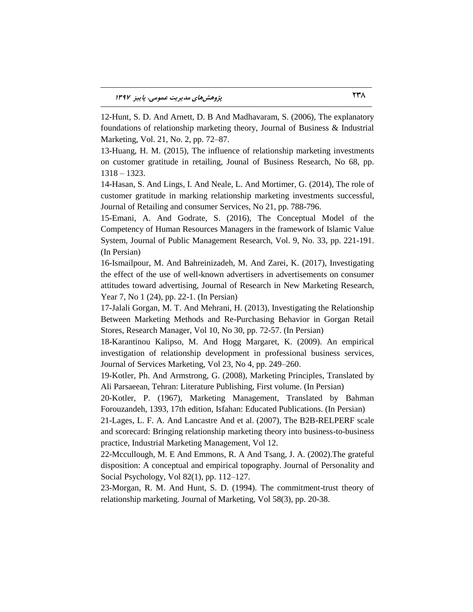12-Hunt, S. D. And Arnett, D. B And Madhavaram, S. (2006), The explanatory foundations of relationship marketing theory, Journal of Business & Industrial Marketing, Vol. 21, No. 2, pp. 72–87.

13-Huang, H. M. (2015), The influence of relationship marketing investments on customer gratitude in retailing, Jounal of Business Research, No 68, pp. 1318 – 1323.

14-Hasan, S. And Lings, I. And Neale, L. And Mortimer, G. (2014), The role of customer gratitude in marking relationship marketing investments successful, Journal of Retailing and consumer Services, No 21, pp. 788-796.

15-Emani, A. And Godrate, S. (2016), The Conceptual Model of the Competency of Human Resources Managers in the framework of Islamic Value System, Journal of Public Management Research, Vol. 9, No. 33, pp. 221-191. (In Persian)

16-Ismailpour, M. And Bahreinizadeh, M. And Zarei, K. (2017), Investigating the effect of the use of well-known advertisers in advertisements on consumer attitudes toward advertising, Journal of Research in New Marketing Research, Year 7, No 1 (24), pp. 22-1. (In Persian)

17-Jalali Gorgan, M. T. And Mehrani, H. (2013), Investigating the Relationship Between Marketing Methods and Re-Purchasing Behavior in Gorgan Retail Stores, Research Manager, Vol 10, No 30, pp. 72-57. (In Persian)

18-Karantinou Kalipso, M. And Hogg Margaret, K. (2009). An empirical investigation of relationship development in professional business services, Journal of Services Marketing, Vol 23, No 4, pp. 249–260.

19-Kotler, Ph. And Armstrong, G. (2008), Marketing Principles, Translated by Ali Parsaeean, Tehran: Literature Publishing, First volume. (In Persian)

20-Kotler, P. (1967), Marketing Management, Translated by Bahman Forouzandeh, 1393, 17th edition, Isfahan: Educated Publications. (In Persian)

21-Lages, L. F. A. And Lancastre And et al. (2007), The B2B-RELPERF scale and scorecard: Bringing relationship marketing theory into business-to-business practice, Industrial Marketing Management, Vol 12.

22-Mccullough, M. E And Emmons, R. A And Tsang, J. A. (2002).The grateful disposition: A conceptual and empirical topography. Journal of Personality and Social Psychology, Vol 82(1), pp. 112–127.

23-Morgan, R. M. And Hunt, S. D. (1994). The commitment-trust theory of relationship marketing. Journal of Marketing, Vol 58(3), pp. 20-38.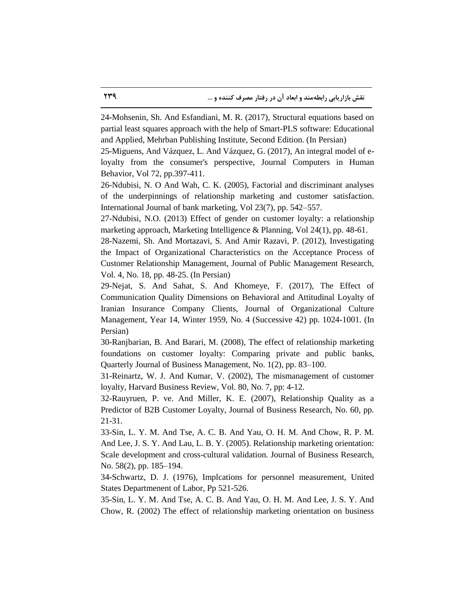24-Mohsenin, Sh. And Esfandiani, M. R. (2017), Structural equations based on partial least squares approach with the help of Smart-PLS software: Educational and Applied, Mehrban Publishing Institute, Second Edition. (In Persian)

25-Miguens, And Vázquez, L. And Vázquez, G. (2017), An integral model of eloyalty from the consumer's perspective, Journal [Computers in Human](http://www.sciencedirect.com/science/journal/07475632)  [Behavior,](http://www.sciencedirect.com/science/journal/07475632) Vol 72, pp.397-411.

26-Ndubisi, N. O And Wah, C. K. (2005), Factorial and discriminant analyses of the underpinnings of relationship marketing and customer satisfaction. International Journal of bank marketing, Vol 23(7), pp. 542–557.

27-Ndubisi, N.O. (2013) Effect of gender on customer loyalty: a relationship marketing approach, Marketing Intelligence & Planning, Vol 24(1), pp. 48-61.

28-Nazemi, Sh. And Mortazavi, S. And Amir Razavi, P. (2012), Investigating the Impact of Organizational Characteristics on the Acceptance Process of Customer Relationship Management, Journal of Public Management Research, Vol. 4, No. 18, pp. 48-25. (In Persian)

29-Nejat, S. And Sahat, S. And Khomeye, F. (2017), The Effect of Communication Quality Dimensions on Behavioral and Attitudinal Loyalty of Iranian Insurance Company Clients, Journal of Organizational Culture Management, Year 14, Winter 1959, No. 4 (Successive 42) pp. 1024-1001. (In Persian)

30-Ranjbarian, B. And Barari, M. (2008), The effect of relationship marketing foundations on customer loyalty: Comparing private and public banks, Quarterly Journal of Business Management, No. 1(2), pp. 83–100.

31-Reinartz, W. J. And Kumar, V. (2002), The mismanagement of customer loyalty, Harvard Business Review, Vol. 80, No. 7, pp: 4-12.

32-Rauyruen, P. ve. And Miller, K. E. (2007), Relationship Quality as a Predictor of B2B Customer Loyalty, Journal of Business Research, No. 60, pp. 21-31.

33-Sin, L. Y. M. And Tse, A. C. B. And Yau, O. H. M. And Chow, R. P. M. And Lee, J. S. Y. And Lau, L. B. Y. (2005). Relationship marketing orientation: Scale development and cross-cultural validation. Journal of Business Research, No. 58(2), pp. 185–194.

34-Schwartz, D. J. (1976), Implcations for personnel measurement, United States Departmenent of Labor, Pp 521-526.

35-Sin, L. Y. M. And Tse, A. C. B. And Yau, O. H. M. And Lee, J. S. Y. And Chow, R. (2002) The effect of relationship marketing orientation on business